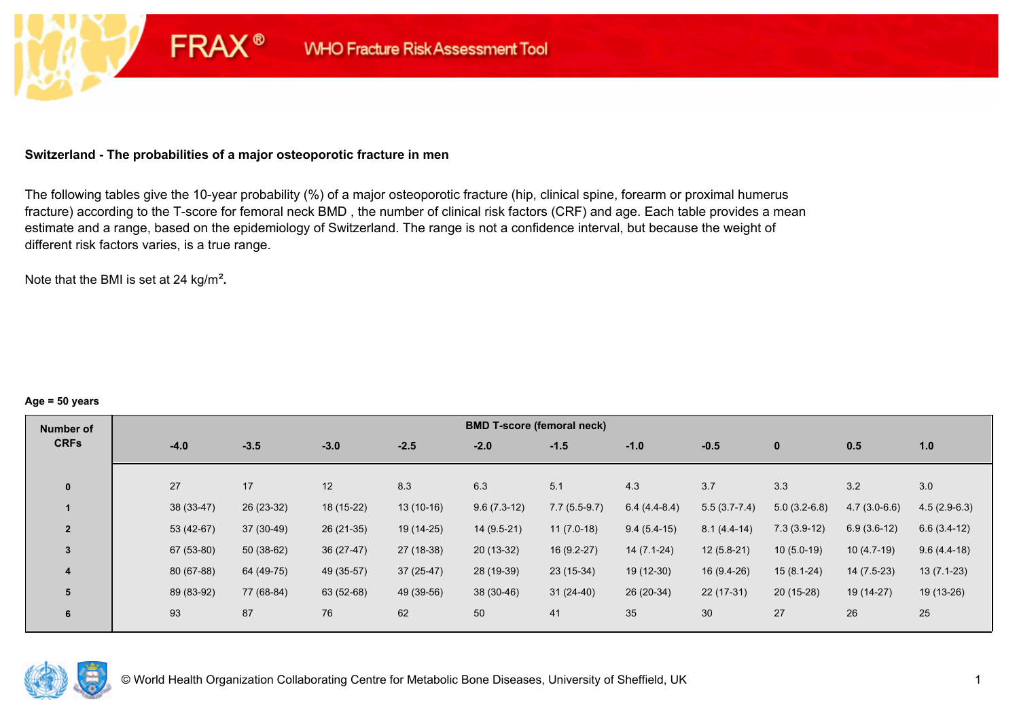# **Switzerland - The probabilities of a major osteoporotic fracture in men**

**FRAX®** 

The following tables give the 10-year probability (%) of a major osteoporotic fracture (hip, clinical spine, forearm or proximal humerus fracture) according to the T-score for femoral neck BMD , the number of clinical risk factors (CRF) and age. Each table provides a mean estimate and a range, based on the epidemiology of Switzerland. The range is not a confidence interval, but because the weight of different risk factors varies, is a true range.

Note that the BMI is set at 24 kg/m²**.** 

#### **Age = 50 years**

| Number of      |             |             |             |             |               | <b>BMD T-score (femoral neck)</b> |                |                |                |                |                |
|----------------|-------------|-------------|-------------|-------------|---------------|-----------------------------------|----------------|----------------|----------------|----------------|----------------|
| <b>CRFs</b>    | $-4.0$      | $-3.5$      | $-3.0$      | $-2.5$      | $-2.0$        | $-1.5$                            | $-1.0$         | $-0.5$         | $\bf{0}$       | 0.5            | 1.0            |
|                |             |             |             |             |               |                                   |                |                |                |                |                |
| $\mathbf{0}$   | 27          | 17          | 12          | 8.3         | 6.3           | 5.1                               | 4.3            | 3.7            | 3.3            | 3.2            | 3.0            |
|                | 38 (33-47)  | 26 (23-32)  | 18 (15-22)  | $13(10-16)$ | $9.6(7.3-12)$ | $7.7(5.5-9.7)$                    | $6.4(4.4-8.4)$ | $5.5(3.7-7.4)$ | $5.0(3.2-6.8)$ | $4.7(3.0-6.6)$ | $4.5(2.9-6.3)$ |
| $\overline{2}$ | $53(42-67)$ | $37(30-49)$ | $26(21-35)$ | 19 (14-25)  | $14(9.5-21)$  | $11(7.0-18)$                      | $9.4(5.4-15)$  | $8.1(4.4-14)$  | $7.3(3.9-12)$  | $6.9(3.6-12)$  | $6.6(3.4-12)$  |
| $\overline{3}$ | 67 (53-80)  | $50(38-62)$ | $36(27-47)$ | 27 (18-38)  | $20(13-32)$   | $16(9.2-27)$                      | $14(7.1-24)$   | $12(5.8-21)$   | $10(5.0-19)$   | $10(4.7-19)$   | $9.6(4.4-18)$  |
| 4              | 80 (67-88)  | 64 (49-75)  | 49 (35-57)  | $37(25-47)$ | 28 (19-39)    | 23 (15-34)                        | 19 (12-30)     | 16 (9.4-26)    | $15(8.1-24)$   | $14(7.5-23)$   | $13(7.1-23)$   |
| 5              | 89 (83-92)  | 77 (68-84)  | 63 (52-68)  | 49 (39-56)  | 38 (30-46)    | $31(24-40)$                       | 26 (20-34)     | $22(17-31)$    | $20(15-28)$    | 19 (14-27)     | 19 (13-26)     |
| 6              | 93          | 87          | 76          | 62          | 50            | 41                                | 35             | 30             | 27             | 26             | 25             |

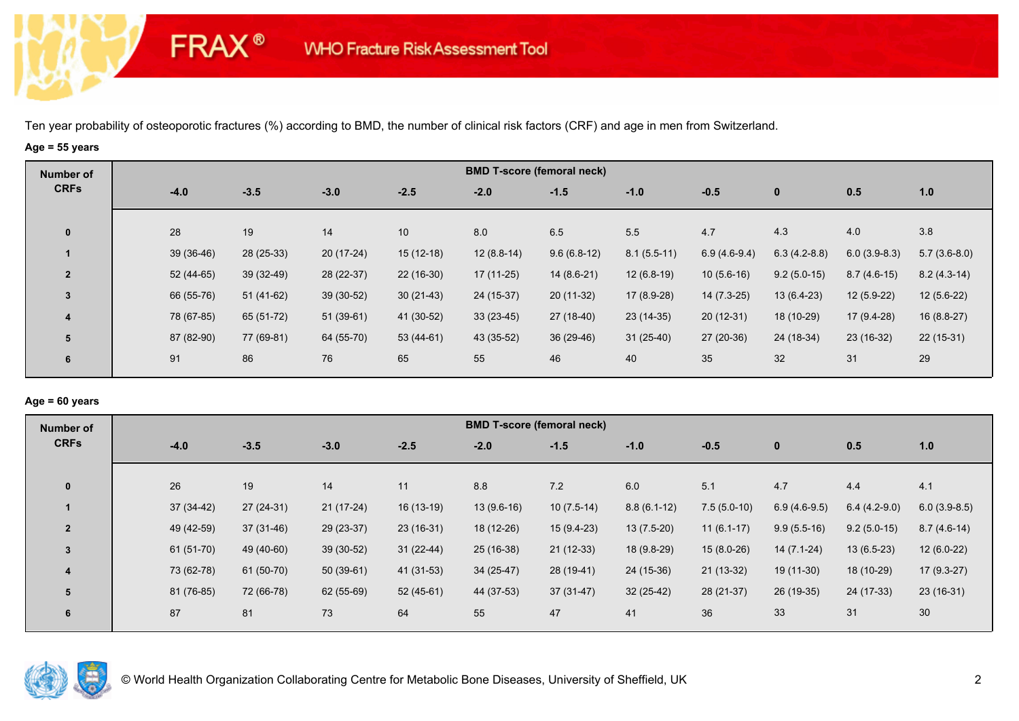# **Age = 55 years**

**FRAX®** 

| Number of               |             |             |             |             |              | <b>BMD T-score (femoral neck)</b> |               |                |                |                |                |
|-------------------------|-------------|-------------|-------------|-------------|--------------|-----------------------------------|---------------|----------------|----------------|----------------|----------------|
| <b>CRFs</b>             | $-4.0$      | $-3.5$      | $-3.0$      | $-2.5$      | $-2.0$       | $-1.5$                            | $-1.0$        | $-0.5$         | $\mathbf{0}$   | 0.5            | 1.0            |
| $\bf{0}$                | 28          | 19          | 14          | 10          | 8.0          | 6.5                               | 5.5           | 4.7            | 4.3            | 4.0            | 3.8            |
|                         | $39(36-46)$ | 28 (25-33)  | $20(17-24)$ | $15(12-18)$ | $12(8.8-14)$ | $9.6(6.8-12)$                     | $8.1(5.5-11)$ | $6.9(4.6-9.4)$ | $6.3(4.2-8.8)$ | $6.0(3.9-8.3)$ | $5.7(3.6-8.0)$ |
| $\overline{2}$          | 52 (44-65)  | 39 (32-49)  | 28 (22-37)  | $22(16-30)$ | $17(11-25)$  | $14(8.6-21)$                      | $12(6.8-19)$  | $10(5.6-16)$   | $9.2(5.0-15)$  | $8.7(4.6-15)$  | $8.2(4.3-14)$  |
| $\mathbf{3}$            | 66 (55-76)  | $51(41-62)$ | $39(30-52)$ | $30(21-43)$ | 24 (15-37)   | $20(11-32)$                       | 17 (8.9-28)   | $14(7.3-25)$   | $13(6.4-23)$   | $12(5.9-22)$   | $12(5.6-22)$   |
| $\overline{\mathbf{4}}$ | 78 (67-85)  | 65 (51-72)  | $51(39-61)$ | 41 (30-52)  | $33(23-45)$  | 27 (18-40)                        | $23(14-35)$   | $20(12-31)$    | 18 (10-29)     | $17(9.4-28)$   | $16(8.8-27)$   |
| 5                       | 87 (82-90)  | 77 (69-81)  | 64 (55-70)  | 53 (44-61)  | 43 (35-52)   | $36(29-46)$                       | $31(25-40)$   | $27(20-36)$    | 24 (18-34)     | 23 (16-32)     | $22(15-31)$    |
| 6                       | 91          | 86          | 76          | 65          | 55           | 46                                | 40            | 35             | 32             | 31             | 29             |

# **Age = 60 years**

| Number of      |             |             |             |             |              | <b>BMD T-score (femoral neck)</b> |               |               |                |                |                |
|----------------|-------------|-------------|-------------|-------------|--------------|-----------------------------------|---------------|---------------|----------------|----------------|----------------|
| <b>CRFs</b>    | $-4.0$      | $-3.5$      | $-3.0$      | $-2.5$      | $-2.0$       | $-1.5$                            | $-1.0$        | $-0.5$        | $\mathbf{0}$   | 0.5            | 1.0            |
|                |             |             |             |             |              |                                   |               |               |                |                |                |
| $\mathbf{0}$   | 26          | 19          | 14          | 11          | 8.8          | 7.2                               | 6.0           | 5.1           | 4.7            | 4.4            | 4.1            |
|                | $37(34-42)$ | 27 (24-31)  | $21(17-24)$ | $16(13-19)$ | $13(9.6-16)$ | $10(7.5-14)$                      | $8.8(6.1-12)$ | $7.5(5.0-10)$ | $6.9(4.6-9.5)$ | $6.4(4.2-9.0)$ | $6.0(3.9-8.5)$ |
| $\overline{2}$ | 49 (42-59)  | $37(31-46)$ | 29 (23-37)  | $23(16-31)$ | 18 (12-26)   | $15(9.4-23)$                      | $13(7.5-20)$  | $11(6.1-17)$  | $9.9(5.5-16)$  | $9.2(5.0-15)$  | $8.7(4.6-14)$  |
| 3              | $61(51-70)$ | 49 (40-60)  | $39(30-52)$ | $31(22-44)$ | $25(16-38)$  | $21(12-33)$                       | 18 (9.8-29)   | $15(8.0-26)$  | $14(7.1-24)$   | $13(6.5-23)$   | $12(6.0-22)$   |
| $\overline{4}$ | 73 (62-78)  | 61 (50-70)  | $50(39-61)$ | 41 (31-53)  | $34(25-47)$  | 28 (19-41)                        | 24 (15-36)    | $21(13-32)$   | 19 (11-30)     | 18 (10-29)     | $17(9.3-27)$   |
| 5              | 81 (76-85)  | 72 (66-78)  | 62 (55-69)  | $52(45-61)$ | 44 (37-53)   | $37(31-47)$                       | $32(25-42)$   | 28 (21-37)    | 26 (19-35)     | 24 (17-33)     | $23(16-31)$    |
| 6              | 87          | 81          | 73          | 64          | 55           | 47                                | 41            | 36            | 33             | 31             | 30             |
|                |             |             |             |             |              |                                   |               |               |                |                |                |

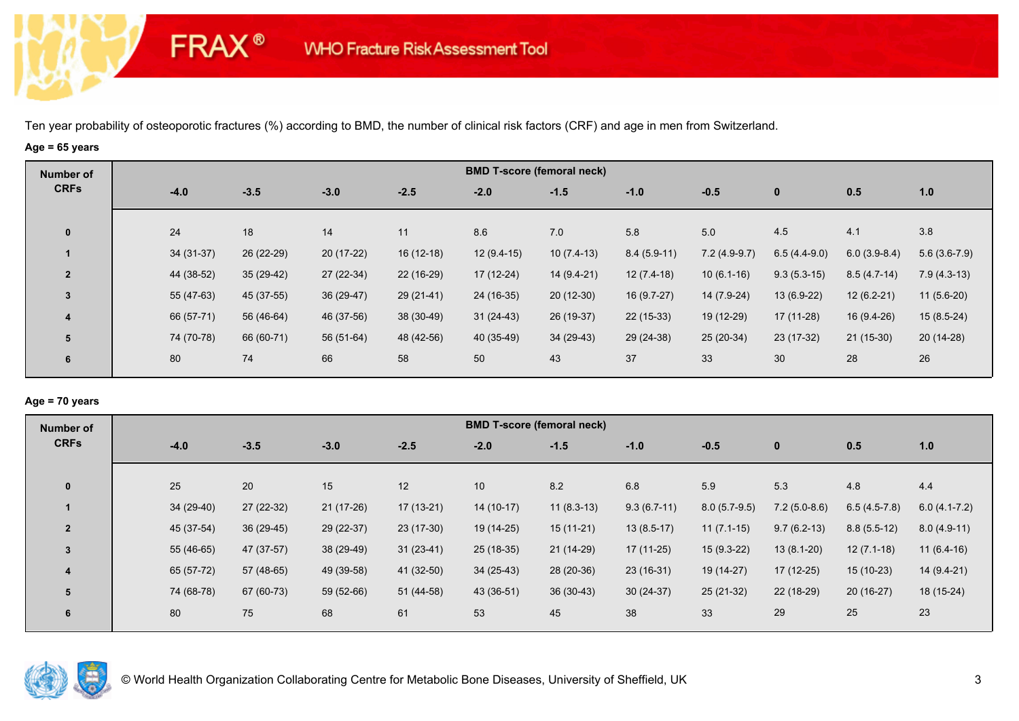## **Age = 65 years**

**FRAX®** 

| Number of               |             |             |             |             |              | <b>BMD T-score (femoral neck)</b> |               |                |                |                |                |
|-------------------------|-------------|-------------|-------------|-------------|--------------|-----------------------------------|---------------|----------------|----------------|----------------|----------------|
| <b>CRFs</b>             | $-4.0$      | $-3.5$      | $-3.0$      | $-2.5$      | $-2.0$       | $-1.5$                            | $-1.0$        | $-0.5$         | $\mathbf 0$    | 0.5            | 1.0            |
| $\mathbf{0}$            | 24          | 18          | 14          | 11          | 8.6          | 7.0                               | 5.8           | 5.0            | 4.5            | 4.1            | 3.8            |
|                         | $34(31-37)$ | 26 (22-29)  | $20(17-22)$ | $16(12-18)$ | $12(9.4-15)$ | $10(7.4-13)$                      | $8.4(5.9-11)$ | $7.2(4.9-9.7)$ | $6.5(4.4-9.0)$ | $6.0(3.9-8.4)$ | $5.6(3.6-7.9)$ |
| $\overline{2}$          | 44 (38-52)  | $35(29-42)$ | 27 (22-34)  | 22 (16-29)  | $17(12-24)$  | $14(9.4-21)$                      | $12(7.4-18)$  | $10(6.1-16)$   | $9.3(5.3-15)$  | $8.5(4.7-14)$  | $7.9(4.3-13)$  |
| $\overline{3}$          | 55 (47-63)  | 45 (37-55)  | $36(29-47)$ | $29(21-41)$ | 24 (16-35)   | $20(12-30)$                       | $16(9.7-27)$  | 14 (7.9-24)    | $13(6.9-22)$   | $12(6.2-21)$   | $11(5.6-20)$   |
| $\overline{\mathbf{4}}$ | 66 (57-71)  | 56 (46-64)  | 46 (37-56)  | 38 (30-49)  | $31(24-43)$  | 26 (19-37)                        | $22(15-33)$   | 19 (12-29)     | 17 (11-28)     | 16 (9.4-26)    | $15(8.5-24)$   |
| 5                       | 74 (70-78)  | 66 (60-71)  | 56 (51-64)  | 48 (42-56)  | 40 (35-49)   | $34(29-43)$                       | 29 (24-38)    | $25(20-34)$    | $23(17-32)$    | $21(15-30)$    | 20 (14-28)     |
| 6                       | 80          | 74          | 66          | 58          | 50           | 43                                | 37            | 33             | 30             | 28             | 26             |

### **Age = 70 years**

| <b>Number of</b> |            |             |             |             |                 | <b>BMD T-score (femoral neck)</b> |               |                |                |                |                |
|------------------|------------|-------------|-------------|-------------|-----------------|-----------------------------------|---------------|----------------|----------------|----------------|----------------|
| <b>CRFs</b>      | $-4.0$     | $-3.5$      | $-3.0$      | $-2.5$      | $-2.0$          | $-1.5$                            | $-1.0$        | $-0.5$         | $\mathbf{0}$   | 0.5            | 1.0            |
| $\mathbf{0}$     | 25         | 20          | 15          | 12          | 10 <sup>°</sup> | 8.2                               | 6.8           | 5.9            | 5.3            | 4.8            | 4.4            |
|                  | 34 (29-40) | $27(22-32)$ | $21(17-26)$ | $17(13-21)$ | $14(10-17)$     | $11(8.3-13)$                      | $9.3(6.7-11)$ | $8.0(5.7-9.5)$ | $7.2(5.0-8.6)$ | $6.5(4.5-7.8)$ | $6.0(4.1-7.2)$ |
| $\overline{2}$   | 45 (37-54) | $36(29-45)$ | 29 (22-37)  | $23(17-30)$ | 19 (14-25)      | $15(11-21)$                       | $13(8.5-17)$  | $11(7.1-15)$   | $9.7(6.2-13)$  | $8.8(5.5-12)$  | $8.0(4.9-11)$  |
| $\overline{3}$   | 55 (46-65) | 47 (37-57)  | 38 (29-49)  | $31(23-41)$ | $25(18-35)$     | 21 (14-29)                        | 17 (11-25)    | $15(9.3-22)$   | $13(8.1-20)$   | $12(7.1-18)$   | $11(6.4-16)$   |
| 4                | 65 (57-72) | 57 (48-65)  | 49 (39-58)  | 41 (32-50)  | $34(25-43)$     | 28 (20-36)                        | $23(16-31)$   | 19 (14-27)     | $17(12-25)$    | $15(10-23)$    | $14(9.4-21)$   |
| 5                | 74 (68-78) | 67 (60-73)  | 59 (52-66)  | 51 (44-58)  | 43 (36-51)      | $36(30-43)$                       | $30(24-37)$   | 25 (21-32)     | $22(18-29)$    | $20(16-27)$    | 18 (15-24)     |
| 6                | 80         | 75          | 68          | 61          | 53              | 45                                | 38            | 33             | 29             | 25             | 23             |

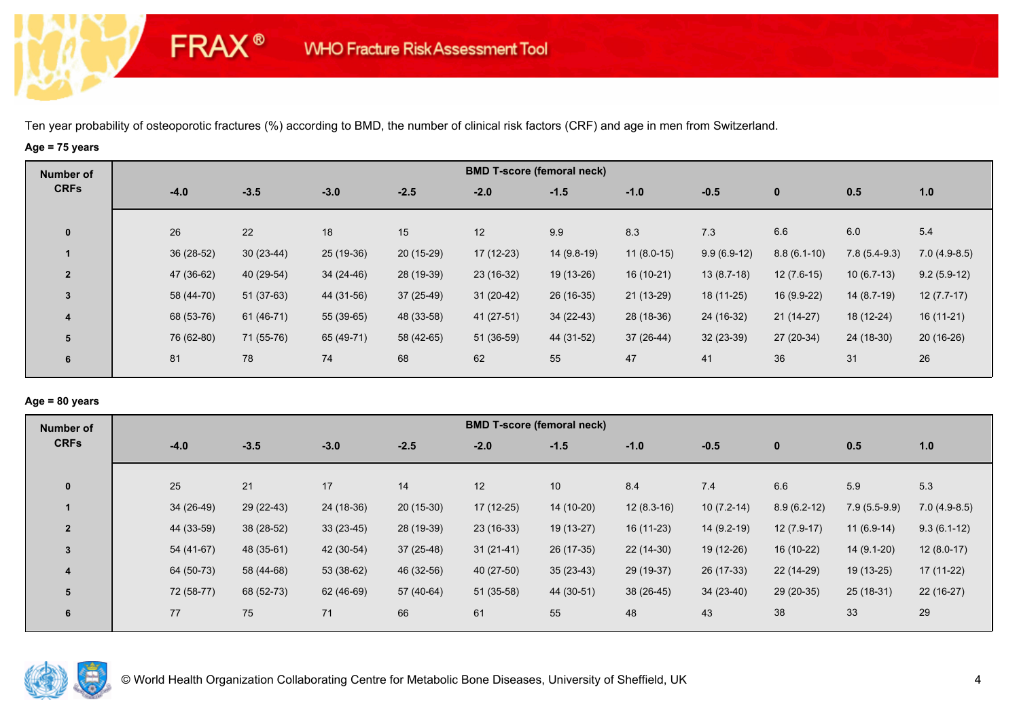# **Age = 75 years**

**FRAX®** 

| <b>Number of</b>        |            |             |            |             |             | <b>BMD T-score (femoral neck)</b> |              |               |               |                |                |
|-------------------------|------------|-------------|------------|-------------|-------------|-----------------------------------|--------------|---------------|---------------|----------------|----------------|
| <b>CRFs</b>             | $-4.0$     | $-3.5$      | $-3.0$     | $-2.5$      | $-2.0$      | $-1.5$                            | $-1.0$       | $-0.5$        | $\bf{0}$      | 0.5            | 1.0            |
| $\mathbf{0}$            | 26         | 22          | 18         | 15          | 12          | 9.9                               | 8.3          | 7.3           | 6.6           | 6.0            | 5.4            |
|                         | 36 (28-52) | $30(23-44)$ | 25 (19-36) | $20(15-29)$ | 17 (12-23)  | 14 (9.8-19)                       | $11(8.0-15)$ | $9.9(6.9-12)$ | $8.8(6.1-10)$ | $7.8(5.4-9.3)$ | $7.0(4.9-8.5)$ |
| $\overline{2}$          | 47 (36-62) | 40 (29-54)  | 34 (24-46) | 28 (19-39)  | 23 (16-32)  | 19 (13-26)                        | $16(10-21)$  | $13(8.7-18)$  | $12(7.6-15)$  | $10(6.7-13)$   | $9.2(5.9-12)$  |
| 3                       | 58 (44-70) | $51(37-63)$ | 44 (31-56) | $37(25-49)$ | $31(20-42)$ | 26 (16-35)                        | $21(13-29)$  | 18 (11-25)    | 16 (9.9-22)   | $14(8.7-19)$   | $12(7.7-17)$   |
| $\overline{\mathbf{4}}$ | 68 (53-76) | 61 (46-71)  | 55 (39-65) | 48 (33-58)  | 41 (27-51)  | $34(22-43)$                       | 28 (18-36)   | 24 (16-32)    | $21(14-27)$   | 18 (12-24)     | $16(11-21)$    |
| 5                       | 76 (62-80) | 71 (55-76)  | 65 (49-71) | 58 (42-65)  | 51 (36-59)  | 44 (31-52)                        | 37 (26-44)   | $32(23-39)$   | 27 (20-34)    | 24 (18-30)     | $20(16-26)$    |
| 6                       | 81         | 78          | 74         | 68          | 62          | 55                                | 47           | 41            | 36            | 31             | 26             |

# **Age = 80 years**

| <b>Number of</b> |            |            |             |             |             | <b>BMD T-score (femoral neck)</b> |              |              |               |                |                |
|------------------|------------|------------|-------------|-------------|-------------|-----------------------------------|--------------|--------------|---------------|----------------|----------------|
| <b>CRFs</b>      | $-4.0$     | $-3.5$     | $-3.0$      | $-2.5$      | $-2.0$      | $-1.5$                            | $-1.0$       | $-0.5$       | $\mathbf{0}$  | 0.5            | 1.0            |
| $\mathbf{0}$     | 25         | 21         | 17          | 14          | 12          | 10                                | 8.4          | 7.4          | 6.6           | 5.9            | 5.3            |
|                  | 34 (26-49) | 29 (22-43) | 24 (18-36)  | $20(15-30)$ | $17(12-25)$ | 14 (10-20)                        | $12(8.3-16)$ | $10(7.2-14)$ | $8.9(6.2-12)$ | $7.9(5.5-9.9)$ | $7.0(4.9-8.5)$ |
| $\overline{2}$   | 44 (33-59) | 38 (28-52) | $33(23-45)$ | 28 (19-39)  | $23(16-33)$ | 19 (13-27)                        | $16(11-23)$  | $14(9.2-19)$ | $12(7.9-17)$  | $11(6.9-14)$   | $9.3(6.1-12)$  |
| 3                | 54 (41-67) | 48 (35-61) | 42 (30-54)  | $37(25-48)$ | $31(21-41)$ | 26 (17-35)                        | $22(14-30)$  | 19 (12-26)   | 16 (10-22)    | 14 (9.1-20)    | $12(8.0-17)$   |
| 4                | 64 (50-73) | 58 (44-68) | $53(38-62)$ | 46 (32-56)  | $40(27-50)$ | $35(23-43)$                       | 29 (19-37)   | 26 (17-33)   | $22(14-29)$   | 19 (13-25)     | $17(11-22)$    |
| 5                | 72 (58-77) | 68 (52-73) | 62 (46-69)  | 57 (40-64)  | $51(35-58)$ | 44 (30-51)                        | $38(26-45)$  | $34(23-40)$  | $29(20-35)$   | $25(18-31)$    | $22(16-27)$    |
| 6                | 77         | 75         | 71          | 66          | 61          | 55                                | 48           | 43           | 38            | 33             | 29             |